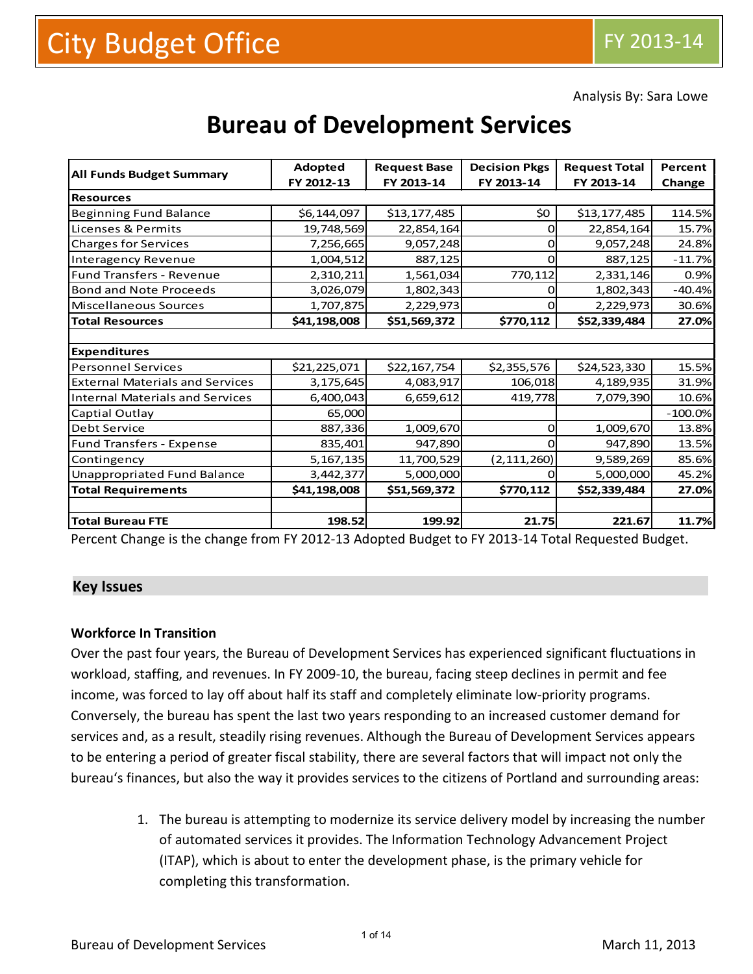Analysis By: Sara Lowe

# **Bureau of Development Services**

|                                        | Adopted      | <b>Request Base</b> | <b>Decision Pkgs</b> | <b>Request Total</b> | Percent   |  |
|----------------------------------------|--------------|---------------------|----------------------|----------------------|-----------|--|
| <b>All Funds Budget Summary</b>        | FY 2012-13   | FY 2013-14          | FY 2013-14           | FY 2013-14           | Change    |  |
| <b>Resources</b>                       |              |                     |                      |                      |           |  |
| <b>Beginning Fund Balance</b>          | \$6,144,097  | \$13,177,485        | \$0                  | \$13,177,485         | 114.5%    |  |
| Licenses & Permits                     | 19,748,569   | 22,854,164          | O                    | 22,854,164           | 15.7%     |  |
| <b>Charges for Services</b>            | 7,256,665    | 9,057,248           |                      | 9,057,248            | 24.8%     |  |
| <b>Interagency Revenue</b>             | 1,004,512    | 887,125             | O                    | 887,125              | $-11.7%$  |  |
| <b>Fund Transfers - Revenue</b>        | 2,310,211    | 1,561,034           | 770,112              | 2,331,146            | 0.9%      |  |
| <b>Bond and Note Proceeds</b>          | 3,026,079    | 1,802,343           |                      | 1,802,343            | $-40.4%$  |  |
| Miscellaneous Sources                  | 1,707,875    | 2,229,973           | 0                    | 2,229,973            | 30.6%     |  |
| <b>Total Resources</b>                 | \$41,198,008 | \$51,569,372        | \$770,112            | \$52,339,484         | 27.0%     |  |
|                                        |              |                     |                      |                      |           |  |
| <b>Expenditures</b>                    |              |                     |                      |                      |           |  |
| <b>Personnel Services</b>              | \$21,225,071 | \$22,167,754        | \$2,355,576          | \$24,523,330         | 15.5%     |  |
| <b>External Materials and Services</b> | 3,175,645    | 4,083,917           | 106,018              | 4,189,935            | 31.9%     |  |
| <b>Internal Materials and Services</b> | 6,400,043    | 6,659,612           | 419,778              | 7,079,390            | 10.6%     |  |
| Captial Outlay                         | 65,000       |                     |                      |                      | $-100.0%$ |  |
| Debt Service                           | 887,336      | 1,009,670           | <sup>n</sup>         | 1,009,670            | 13.8%     |  |
| <b>Fund Transfers - Expense</b>        | 835,401      | 947,890             |                      | 947,890              | 13.5%     |  |
| Contingency                            | 5,167,135    | 11,700,529          | (2, 111, 260)        | 9,589,269            | 85.6%     |  |
| <b>Unappropriated Fund Balance</b>     | 3,442,377    | 5,000,000           |                      | 5,000,000            | 45.2%     |  |
| <b>Total Requirements</b>              | \$41,198,008 | \$51,569,372        | \$770,112            | \$52,339,484         | 27.0%     |  |
|                                        |              |                     |                      |                      |           |  |
| <b>Total Bureau FTE</b>                | 198.52       | 199.92              | 21.75                | 221.67               | 11.7%     |  |

Percent Change is the change from FY 2012-13 Adopted Budget to FY 2013-14 Total Requested Budget.

#### **Key Issues**

#### **Workforce In Transition**

Over the past four years, the Bureau of Development Services has experienced significant fluctuations in workload, staffing, and revenues. In FY 2009-10, the bureau, facing steep declines in permit and fee income, was forced to lay off about half its staff and completely eliminate low-priority programs. Conversely, the bureau has spent the last two years responding to an increased customer demand for services and, as a result, steadily rising revenues. Although the Bureau of Development Services appears to be entering a period of greater fiscal stability, there are several factors that will impact not only the bureau's finances, but also the way it provides services to the citizens of Portland and surrounding areas:

> 1. The bureau is attempting to modernize its service delivery model by increasing the number of automated services it provides. The Information Technology Advancement Project (ITAP), which is about to enter the development phase, is the primary vehicle for completing this transformation.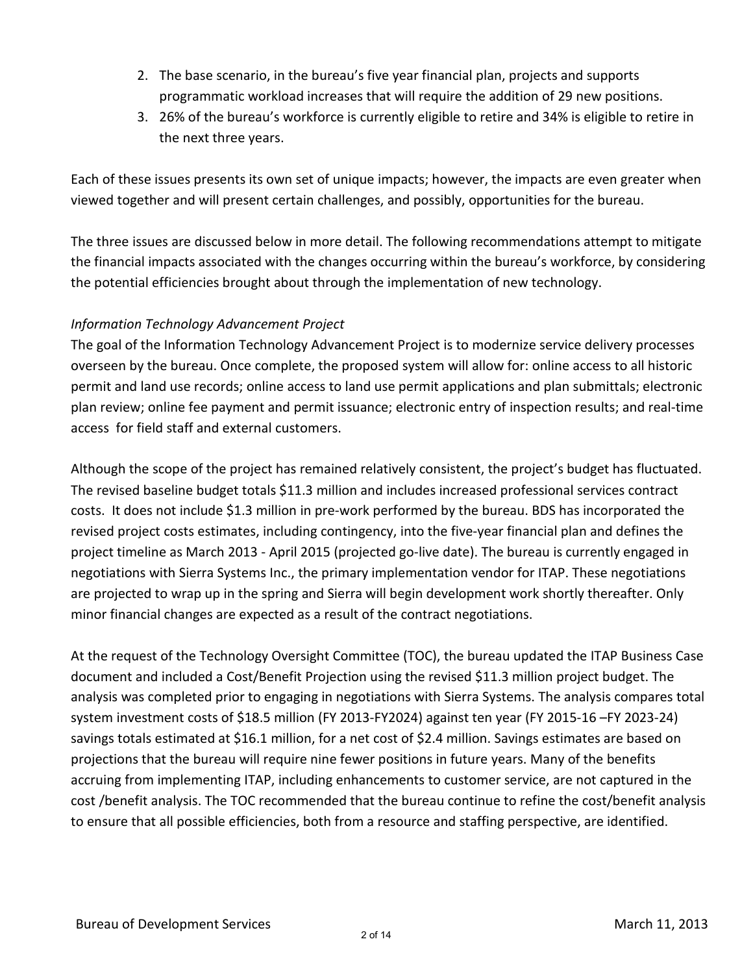- 2. The base scenario, in the bureau's five year financial plan, projects and supports programmatic workload increases that will require the addition of 29 new positions.
- 3. 26% of the bureau's workforce is currently eligible to retire and 34% is eligible to retire in the next three years.

Each of these issues presents its own set of unique impacts; however, the impacts are even greater when viewed together and will present certain challenges, and possibly, opportunities for the bureau.

The three issues are discussed below in more detail. The following recommendations attempt to mitigate the financial impacts associated with the changes occurring within the bureau's workforce, by considering the potential efficiencies brought about through the implementation of new technology.

## *Information Technology Advancement Project*

The goal of the Information Technology Advancement Project is to modernize service delivery processes overseen by the bureau. Once complete, the proposed system will allow for: online access to all historic permit and land use records; online access to land use permit applications and plan submittals; electronic plan review; online fee payment and permit issuance; electronic entry of inspection results; and real-time access for field staff and external customers.

Although the scope of the project has remained relatively consistent, the project's budget has fluctuated. The revised baseline budget totals \$11.3 million and includes increased professional services contract costs. It does not include \$1.3 million in pre-work performed by the bureau. BDS has incorporated the revised project costs estimates, including contingency, into the five-year financial plan and defines the project timeline as March 2013 - April 2015 (projected go-live date). The bureau is currently engaged in negotiations with Sierra Systems Inc., the primary implementation vendor for ITAP. These negotiations are projected to wrap up in the spring and Sierra will begin development work shortly thereafter. Only minor financial changes are expected as a result of the contract negotiations.

At the request of the Technology Oversight Committee (TOC), the bureau updated the ITAP Business Case document and included a Cost/Benefit Projection using the revised \$11.3 million project budget. The analysis was completed prior to engaging in negotiations with Sierra Systems. The analysis compares total system investment costs of \$18.5 million (FY 2013-FY2024) against ten year (FY 2015-16 –FY 2023-24) savings totals estimated at \$16.1 million, for a net cost of \$2.4 million. Savings estimates are based on projections that the bureau will require nine fewer positions in future years. Many of the benefits accruing from implementing ITAP, including enhancements to customer service, are not captured in the cost /benefit analysis. The TOC recommended that the bureau continue to refine the cost/benefit analysis to ensure that all possible efficiencies, both from a resource and staffing perspective, are identified.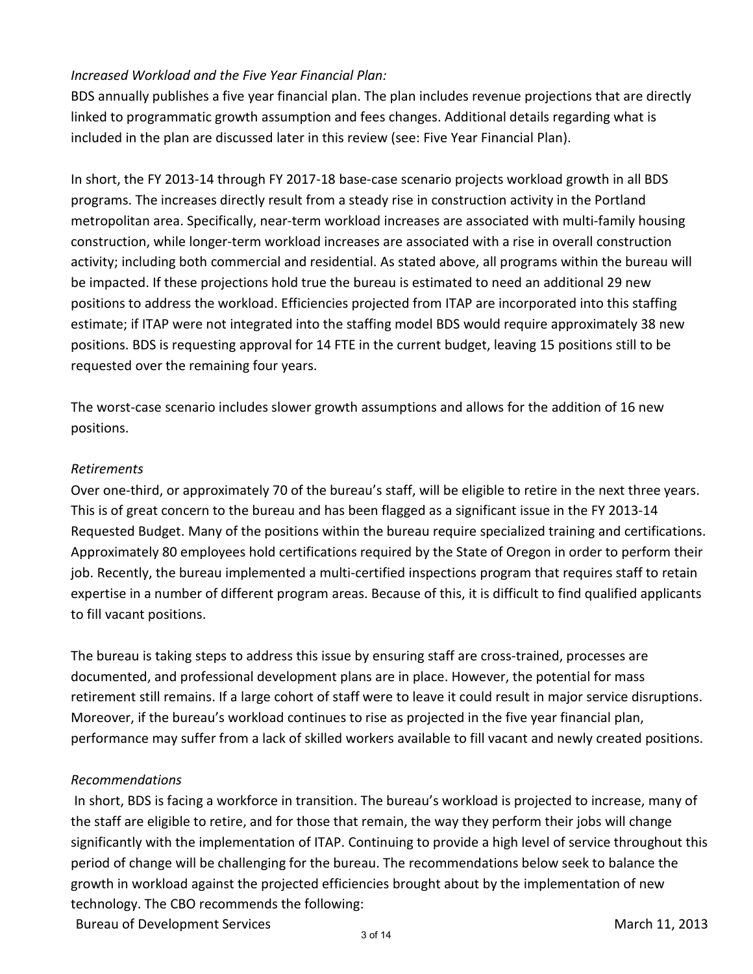## *Increased Workload and the Five Year Financial Plan:*

BDS annually publishes a five year financial plan. The plan includes revenue projections that are directly linked to programmatic growth assumption and fees changes. Additional details regarding what is included in the plan are discussed later in this review (see: Five Year Financial Plan).

In short, the FY 2013-14 through FY 2017-18 base-case scenario projects workload growth in all BDS programs. The increases directly result from a steady rise in construction activity in the Portland metropolitan area. Specifically, near-term workload increases are associated with multi-family housing construction, while longer-term workload increases are associated with a rise in overall construction activity; including both commercial and residential. As stated above, all programs within the bureau will be impacted. If these projections hold true the bureau is estimated to need an additional 29 new positions to address the workload. Efficiencies projected from ITAP are incorporated into this staffing estimate; if ITAP were not integrated into the staffing model BDS would require approximately 38 new positions. BDS is requesting approval for 14 FTE in the current budget, leaving 15 positions still to be requested over the remaining four years.

The worst-case scenario includes slower growth assumptions and allows for the addition of 16 new positions.

## *Retirements*

Over one-third, or approximately 70 of the bureau's staff, will be eligible to retire in the next three years. This is of great concern to the bureau and has been flagged as a significant issue in the FY 2013-14 Requested Budget. Many of the positions within the bureau require specialized training and certifications. Approximately 80 employees hold certifications required by the State of Oregon in order to perform their job. Recently, the bureau implemented a multi-certified inspections program that requires staff to retain expertise in a number of different program areas. Because of this, it is difficult to find qualified applicants to fill vacant positions.

The bureau is taking steps to address this issue by ensuring staff are cross-trained, processes are documented, and professional development plans are in place. However, the potential for mass retirement still remains. If a large cohort of staff were to leave it could result in major service disruptions. Moreover, if the bureau's workload continues to rise as projected in the five year financial plan, performance may suffer from a lack of skilled workers available to fill vacant and newly created positions.

## *Recommendations*

In short, BDS is facing a workforce in transition. The bureau's workload is projected to increase, many of the staff are eligible to retire, and for those that remain, the way they perform their jobs will change significantly with the implementation of ITAP. Continuing to provide a high level of service throughout this period of change will be challenging for the bureau. The recommendations below seek to balance the growth in workload against the projected efficiencies brought about by the implementation of new technology. The CBO recommends the following:

Bureau of Development Services March 11, 2013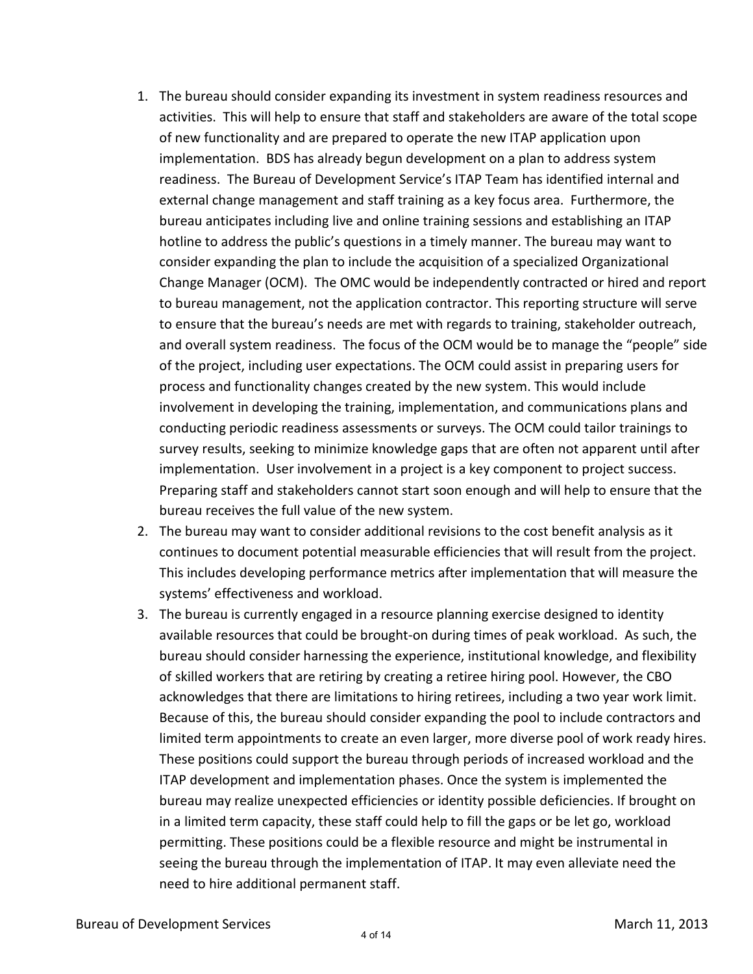- 1. The bureau should consider expanding its investment in system readiness resources and activities. This will help to ensure that staff and stakeholders are aware of the total scope of new functionality and are prepared to operate the new ITAP application upon implementation. BDS has already begun development on a plan to address system readiness. The Bureau of Development Service's ITAP Team has identified internal and external change management and staff training as a key focus area. Furthermore, the bureau anticipates including live and online training sessions and establishing an ITAP hotline to address the public's questions in a timely manner. The bureau may want to consider expanding the plan to include the acquisition of a specialized Organizational Change Manager (OCM). The OMC would be independently contracted or hired and report to bureau management, not the application contractor. This reporting structure will serve to ensure that the bureau's needs are met with regards to training, stakeholder outreach, and overall system readiness. The focus of the OCM would be to manage the "people" side of the project, including user expectations. The OCM could assist in preparing users for process and functionality changes created by the new system. This would include involvement in developing the training, implementation, and communications plans and conducting periodic readiness assessments or surveys. The OCM could tailor trainings to survey results, seeking to minimize knowledge gaps that are often not apparent until after implementation. User involvement in a project is a key component to project success. Preparing staff and stakeholders cannot start soon enough and will help to ensure that the bureau receives the full value of the new system.
- 2. The bureau may want to consider additional revisions to the cost benefit analysis as it continues to document potential measurable efficiencies that will result from the project. This includes developing performance metrics after implementation that will measure the systems' effectiveness and workload.
- 3. The bureau is currently engaged in a resource planning exercise designed to identity available resources that could be brought-on during times of peak workload. As such, the bureau should consider harnessing the experience, institutional knowledge, and flexibility of skilled workers that are retiring by creating a retiree hiring pool. However, the CBO acknowledges that there are limitations to hiring retirees, including a two year work limit. Because of this, the bureau should consider expanding the pool to include contractors and limited term appointments to create an even larger, more diverse pool of work ready hires. These positions could support the bureau through periods of increased workload and the ITAP development and implementation phases. Once the system is implemented the bureau may realize unexpected efficiencies or identity possible deficiencies. If brought on in a limited term capacity, these staff could help to fill the gaps or be let go, workload permitting. These positions could be a flexible resource and might be instrumental in seeing the bureau through the implementation of ITAP. It may even alleviate need the need to hire additional permanent staff.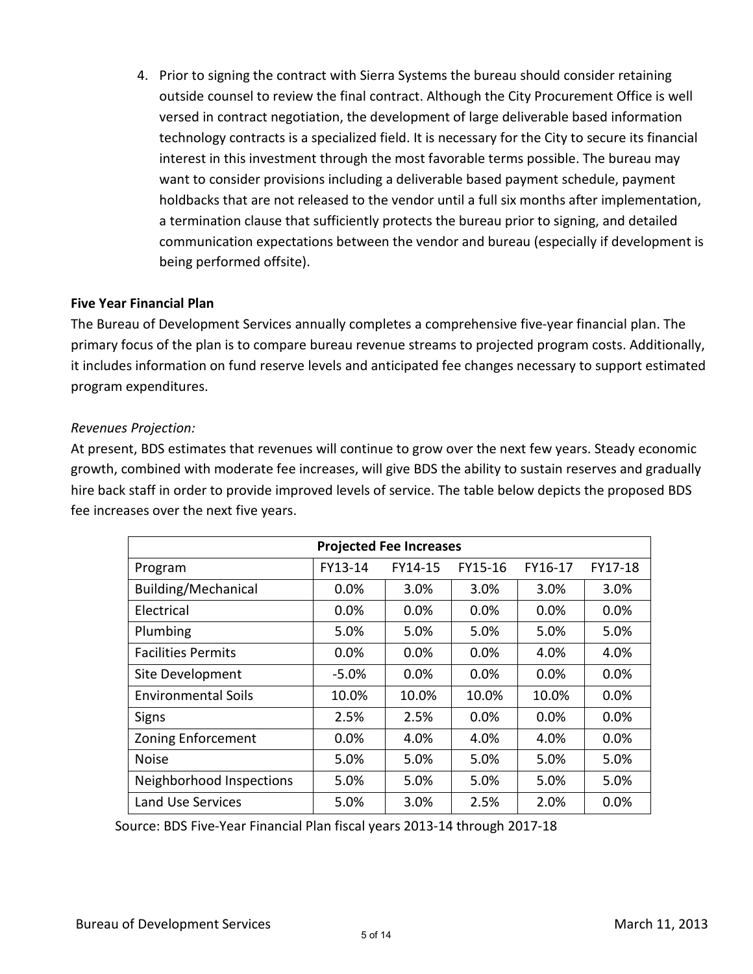4. Prior to signing the contract with Sierra Systems the bureau should consider retaining outside counsel to review the final contract. Although the City Procurement Office is well versed in contract negotiation, the development of large deliverable based information technology contracts is a specialized field. It is necessary for the City to secure its financial interest in this investment through the most favorable terms possible. The bureau may want to consider provisions including a deliverable based payment schedule, payment holdbacks that are not released to the vendor until a full six months after implementation, a termination clause that sufficiently protects the bureau prior to signing, and detailed communication expectations between the vendor and bureau (especially if development is being performed offsite).

#### **Five Year Financial Plan**

The Bureau of Development Services annually completes a comprehensive five-year financial plan. The primary focus of the plan is to compare bureau revenue streams to projected program costs. Additionally, it includes information on fund reserve levels and anticipated fee changes necessary to support estimated program expenditures.

#### *Revenues Projection:*

At present, BDS estimates that revenues will continue to grow over the next few years. Steady economic growth, combined with moderate fee increases, will give BDS the ability to sustain reserves and gradually hire back staff in order to provide improved levels of service. The table below depicts the proposed BDS fee increases over the next five years.

| <b>Projected Fee Increases</b> |          |         |         |       |      |  |  |  |
|--------------------------------|----------|---------|---------|-------|------|--|--|--|
| Program                        | FY13-14  | FY17-18 |         |       |      |  |  |  |
| Building/Mechanical            | $0.0\%$  | 3.0%    | 3.0%    | 3.0%  | 3.0% |  |  |  |
| Electrical                     | $0.0\%$  | 0.0%    | 0.0%    | 0.0%  | 0.0% |  |  |  |
| Plumbing                       | 5.0%     | 5.0%    | 5.0%    | 5.0%  | 5.0% |  |  |  |
| <b>Facilities Permits</b>      | $0.0\%$  | $0.0\%$ | $0.0\%$ | 4.0%  | 4.0% |  |  |  |
| Site Development               | $-5.0\%$ | $0.0\%$ | 0.0%    | 0.0%  | 0.0% |  |  |  |
| <b>Environmental Soils</b>     | 10.0%    | 10.0%   | 10.0%   | 10.0% | 0.0% |  |  |  |
| <b>Signs</b>                   | 2.5%     | 2.5%    | 0.0%    | 0.0%  | 0.0% |  |  |  |
| <b>Zoning Enforcement</b>      | 0.0%     | 4.0%    | 4.0%    | 4.0%  | 0.0% |  |  |  |
| Noise                          | 5.0%     | 5.0%    | 5.0%    | 5.0%  | 5.0% |  |  |  |
| Neighborhood Inspections       | 5.0%     | 5.0%    | 5.0%    | 5.0%  | 5.0% |  |  |  |
| Land Use Services              | 5.0%     | 3.0%    | 2.5%    | 2.0%  | 0.0% |  |  |  |

Source: BDS Five-Year Financial Plan fiscal years 2013-14 through 2017-18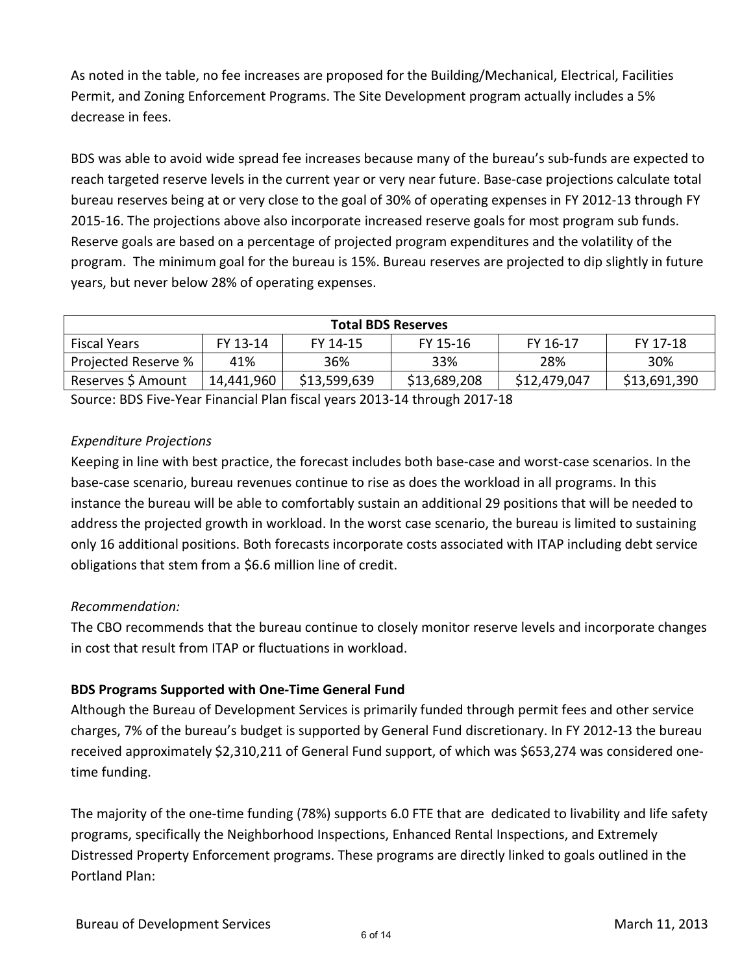As noted in the table, no fee increases are proposed for the Building/Mechanical, Electrical, Facilities Permit, and Zoning Enforcement Programs. The Site Development program actually includes a 5% decrease in fees.

BDS was able to avoid wide spread fee increases because many of the bureau's sub-funds are expected to reach targeted reserve levels in the current year or very near future. Base-case projections calculate total bureau reserves being at or very close to the goal of 30% of operating expenses in FY 2012-13 through FY 2015-16. The projections above also incorporate increased reserve goals for most program sub funds. Reserve goals are based on a percentage of projected program expenditures and the volatility of the program. The minimum goal for the bureau is 15%. Bureau reserves are projected to dip slightly in future years, but never below 28% of operating expenses.

| <b>Total BDS Reserves</b>                                                       |            |              |              |              |              |  |  |  |
|---------------------------------------------------------------------------------|------------|--------------|--------------|--------------|--------------|--|--|--|
| FY 13-14<br>FY 15-16<br>FY 16-17<br>FY 17-18<br><b>Fiscal Years</b><br>FY 14-15 |            |              |              |              |              |  |  |  |
| Projected Reserve %                                                             | 41%        | 36%          | 33%          | 28%          | 30%          |  |  |  |
| Reserves \$ Amount                                                              | 14,441,960 | \$13,599,639 | \$13,689,208 | \$12,479,047 | \$13,691,390 |  |  |  |

Source: BDS Five-Year Financial Plan fiscal years 2013-14 through 2017-18

## *Expenditure Projections*

Keeping in line with best practice, the forecast includes both base-case and worst-case scenarios. In the base-case scenario, bureau revenues continue to rise as does the workload in all programs. In this instance the bureau will be able to comfortably sustain an additional 29 positions that will be needed to address the projected growth in workload. In the worst case scenario, the bureau is limited to sustaining only 16 additional positions. Both forecasts incorporate costs associated with ITAP including debt service obligations that stem from a \$6.6 million line of credit.

## *Recommendation:*

The CBO recommends that the bureau continue to closely monitor reserve levels and incorporate changes in cost that result from ITAP or fluctuations in workload.

## **BDS Programs Supported with One-Time General Fund**

Although the Bureau of Development Services is primarily funded through permit fees and other service charges, 7% of the bureau's budget is supported by General Fund discretionary. In FY 2012-13 the bureau received approximately \$2,310,211 of General Fund support, of which was \$653,274 was considered onetime funding.

The majority of the one-time funding (78%) supports 6.0 FTE that are dedicated to livability and life safety programs, specifically the Neighborhood Inspections, Enhanced Rental Inspections, and Extremely Distressed Property Enforcement programs. These programs are directly linked to goals outlined in the Portland Plan: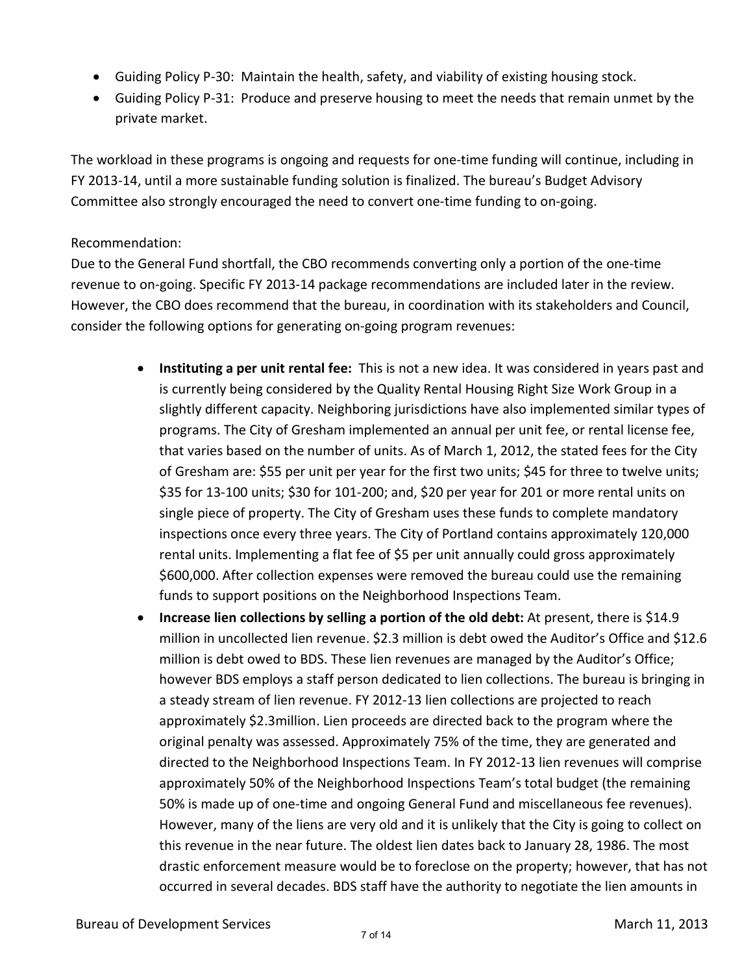- Guiding Policy P-30: Maintain the health, safety, and viability of existing housing stock.
- Guiding Policy P-31: Produce and preserve housing to meet the needs that remain unmet by the private market.

The workload in these programs is ongoing and requests for one-time funding will continue, including in FY 2013-14, until a more sustainable funding solution is finalized. The bureau's Budget Advisory Committee also strongly encouraged the need to convert one-time funding to on-going.

## Recommendation:

Due to the General Fund shortfall, the CBO recommends converting only a portion of the one-time revenue to on-going. Specific FY 2013-14 package recommendations are included later in the review. However, the CBO does recommend that the bureau, in coordination with its stakeholders and Council, consider the following options for generating on-going program revenues:

- **Instituting a per unit rental fee:** This is not a new idea. It was considered in years past and is currently being considered by the Quality Rental Housing Right Size Work Group in a slightly different capacity. Neighboring jurisdictions have also implemented similar types of programs. The City of Gresham implemented an annual per unit fee, or rental license fee, that varies based on the number of units. As of March 1, 2012, the stated fees for the City of Gresham are: \$55 per unit per year for the first two units; \$45 for three to twelve units; \$35 for 13-100 units; \$30 for 101-200; and, \$20 per year for 201 or more rental units on single piece of property. The City of Gresham uses these funds to complete mandatory inspections once every three years. The City of Portland contains approximately 120,000 rental units. Implementing a flat fee of \$5 per unit annually could gross approximately \$600,000. After collection expenses were removed the bureau could use the remaining funds to support positions on the Neighborhood Inspections Team.
- **Increase lien collections by selling a portion of the old debt:** At present, there is \$14.9 million in uncollected lien revenue. \$2.3 million is debt owed the Auditor's Office and \$12.6 million is debt owed to BDS. These lien revenues are managed by the Auditor's Office; however BDS employs a staff person dedicated to lien collections. The bureau is bringing in a steady stream of lien revenue. FY 2012-13 lien collections are projected to reach approximately \$2.3million. Lien proceeds are directed back to the program where the original penalty was assessed. Approximately 75% of the time, they are generated and directed to the Neighborhood Inspections Team. In FY 2012-13 lien revenues will comprise approximately 50% of the Neighborhood Inspections Team's total budget (the remaining 50% is made up of one-time and ongoing General Fund and miscellaneous fee revenues). However, many of the liens are very old and it is unlikely that the City is going to collect on this revenue in the near future. The oldest lien dates back to January 28, 1986. The most drastic enforcement measure would be to foreclose on the property; however, that has not occurred in several decades. BDS staff have the authority to negotiate the lien amounts in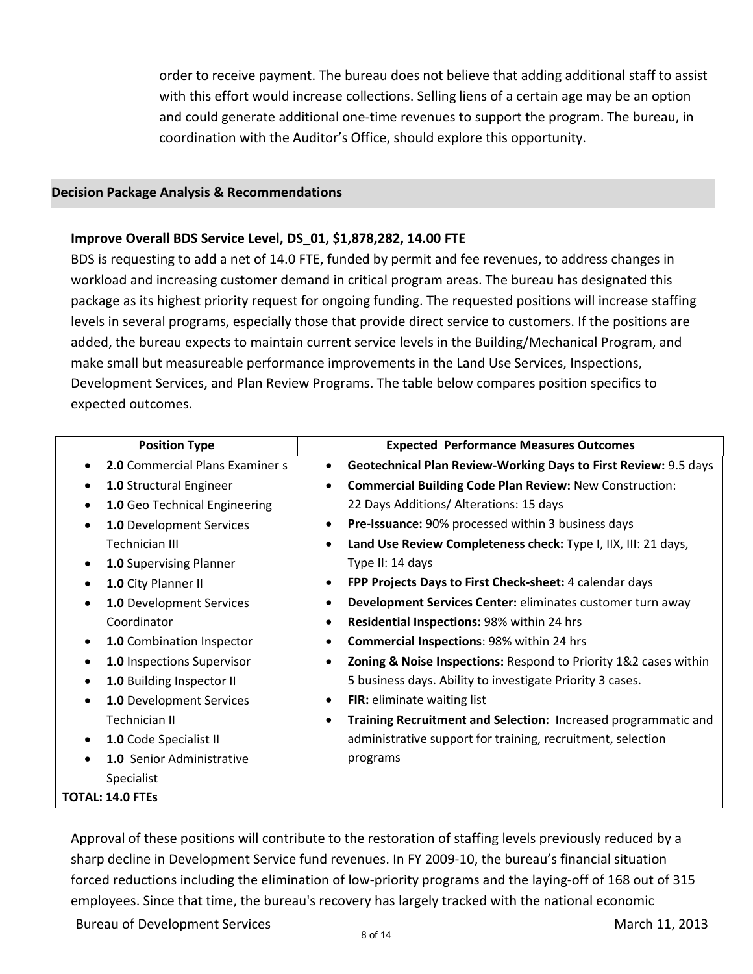order to receive payment. The bureau does not believe that adding additional staff to assist with this effort would increase collections. Selling liens of a certain age may be an option and could generate additional one-time revenues to support the program. The bureau, in coordination with the Auditor's Office, should explore this opportunity.

#### **Decision Package Analysis & Recommendations**

#### **Improve Overall BDS Service Level, DS\_01, \$1,878,282, 14.00 FTE**

BDS is requesting to add a net of 14.0 FTE, funded by permit and fee revenues, to address changes in workload and increasing customer demand in critical program areas. The bureau has designated this package as its highest priority request for ongoing funding. The requested positions will increase staffing levels in several programs, especially those that provide direct service to customers. If the positions are added, the bureau expects to maintain current service levels in the Building/Mechanical Program, and make small but measureable performance improvements in the Land Use Services, Inspections, Development Services, and Plan Review Programs. The table below compares position specifics to expected outcomes.

| <b>Position Type</b>                         | <b>Expected Performance Measures Outcomes</b>                                 |
|----------------------------------------------|-------------------------------------------------------------------------------|
| 2.0 Commercial Plans Examiner s<br>$\bullet$ | Geotechnical Plan Review-Working Days to First Review: 9.5 days<br>$\bullet$  |
| 1.0 Structural Engineer<br>$\bullet$         | <b>Commercial Building Code Plan Review: New Construction:</b><br>$\bullet$   |
| 1.0 Geo Technical Engineering<br>$\bullet$   | 22 Days Additions/ Alterations: 15 days                                       |
| <b>1.0 Development Services</b><br>$\bullet$ | Pre-Issuance: 90% processed within 3 business days<br>٠                       |
| Technician III                               | Land Use Review Completeness check: Type I, IIX, III: 21 days,<br>٠           |
| 1.0 Supervising Planner<br>$\bullet$         | Type II: 14 days                                                              |
| 1.0 City Planner II<br>$\bullet$             | FPP Projects Days to First Check-sheet: 4 calendar days<br>$\bullet$          |
| 1.0 Development Services<br>$\bullet$        | Development Services Center: eliminates customer turn away<br>٠               |
| Coordinator                                  | Residential Inspections: 98% within 24 hrs<br>٠                               |
| 1.0 Combination Inspector<br>$\bullet$       | Commercial Inspections: 98% within 24 hrs<br>٠                                |
| 1.0 Inspections Supervisor<br>$\bullet$      | Zoning & Noise Inspections: Respond to Priority 1&2 cases within<br>$\bullet$ |
| 1.0 Building Inspector II<br>$\bullet$       | 5 business days. Ability to investigate Priority 3 cases.                     |
| 1.0 Development Services<br>$\bullet$        | FIR: eliminate waiting list<br>٠                                              |
| Technician II                                | Training Recruitment and Selection: Increased programmatic and<br>$\bullet$   |
| 1.0 Code Specialist II<br>$\bullet$          | administrative support for training, recruitment, selection                   |
| 1.0 Senior Administrative<br>$\bullet$       | programs                                                                      |
| Specialist                                   |                                                                               |
| <b>TOTAL: 14.0 FTEs</b>                      |                                                                               |

Approval of these positions will contribute to the restoration of staffing levels previously reduced by a sharp decline in Development Service fund revenues. In FY 2009-10, the bureau's financial situation forced reductions including the elimination of low-priority programs and the laying-off of 168 out of 315 employees. Since that time, the bureau's recovery has largely tracked with the national economic

Bureau of Development Services March 11, 2013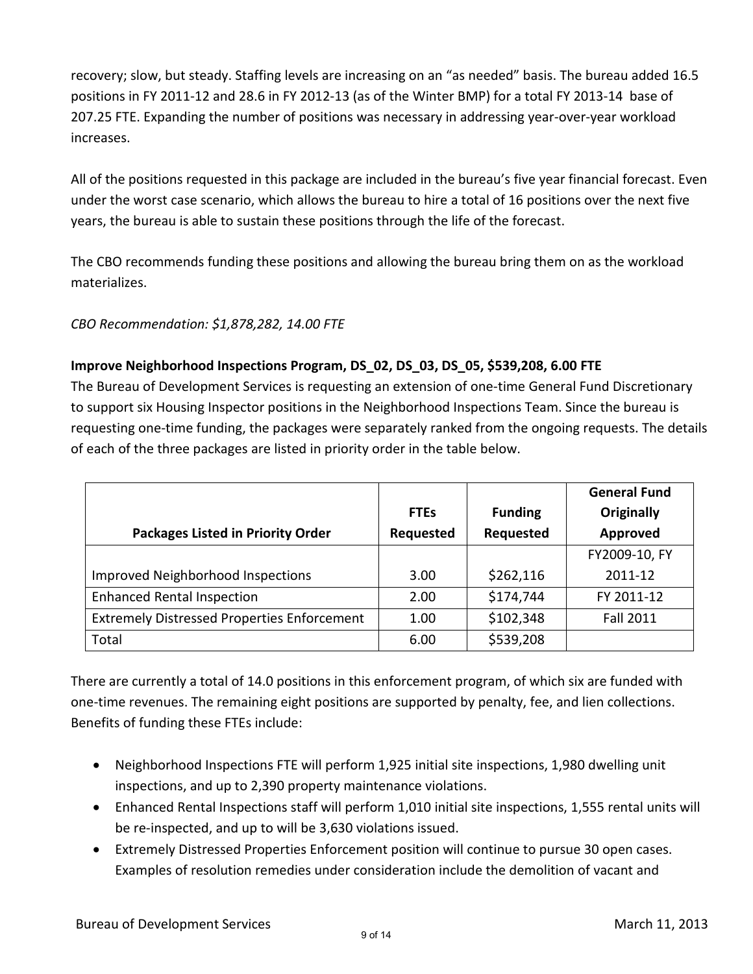recovery; slow, but steady. Staffing levels are increasing on an "as needed" basis. The bureau added 16.5 positions in FY 2011-12 and 28.6 in FY 2012-13 (as of the Winter BMP) for a total FY 2013-14 base of 207.25 FTE. Expanding the number of positions was necessary in addressing year-over-year workload increases.

All of the positions requested in this package are included in the bureau's five year financial forecast. Even under the worst case scenario, which allows the bureau to hire a total of 16 positions over the next five years, the bureau is able to sustain these positions through the life of the forecast.

The CBO recommends funding these positions and allowing the bureau bring them on as the workload materializes.

*CBO Recommendation: \$1,878,282, 14.00 FTE*

## **Improve Neighborhood Inspections Program, DS\_02, DS\_03, DS\_05, \$539,208, 6.00 FTE**

The Bureau of Development Services is requesting an extension of one-time General Fund Discretionary to support six Housing Inspector positions in the Neighborhood Inspections Team. Since the bureau is requesting one-time funding, the packages were separately ranked from the ongoing requests. The details of each of the three packages are listed in priority order in the table below.

|                                                    |             |                | <b>General Fund</b> |
|----------------------------------------------------|-------------|----------------|---------------------|
|                                                    | <b>FTEs</b> | <b>Funding</b> | Originally          |
| <b>Packages Listed in Priority Order</b>           | Requested   | Requested      | Approved            |
|                                                    |             |                | FY2009-10, FY       |
| Improved Neighborhood Inspections                  | 3.00        | \$262,116      | 2011-12             |
| <b>Enhanced Rental Inspection</b>                  | 2.00        | \$174,744      | FY 2011-12          |
| <b>Extremely Distressed Properties Enforcement</b> | 1.00        | \$102,348      | <b>Fall 2011</b>    |
| Total                                              | 6.00        | \$539,208      |                     |

There are currently a total of 14.0 positions in this enforcement program, of which six are funded with one-time revenues. The remaining eight positions are supported by penalty, fee, and lien collections. Benefits of funding these FTEs include:

- Neighborhood Inspections FTE will perform 1,925 initial site inspections, 1,980 dwelling unit inspections, and up to 2,390 property maintenance violations.
- Enhanced Rental Inspections staff will perform 1,010 initial site inspections, 1,555 rental units will be re-inspected, and up to will be 3,630 violations issued.
- Extremely Distressed Properties Enforcement position will continue to pursue 30 open cases. Examples of resolution remedies under consideration include the demolition of vacant and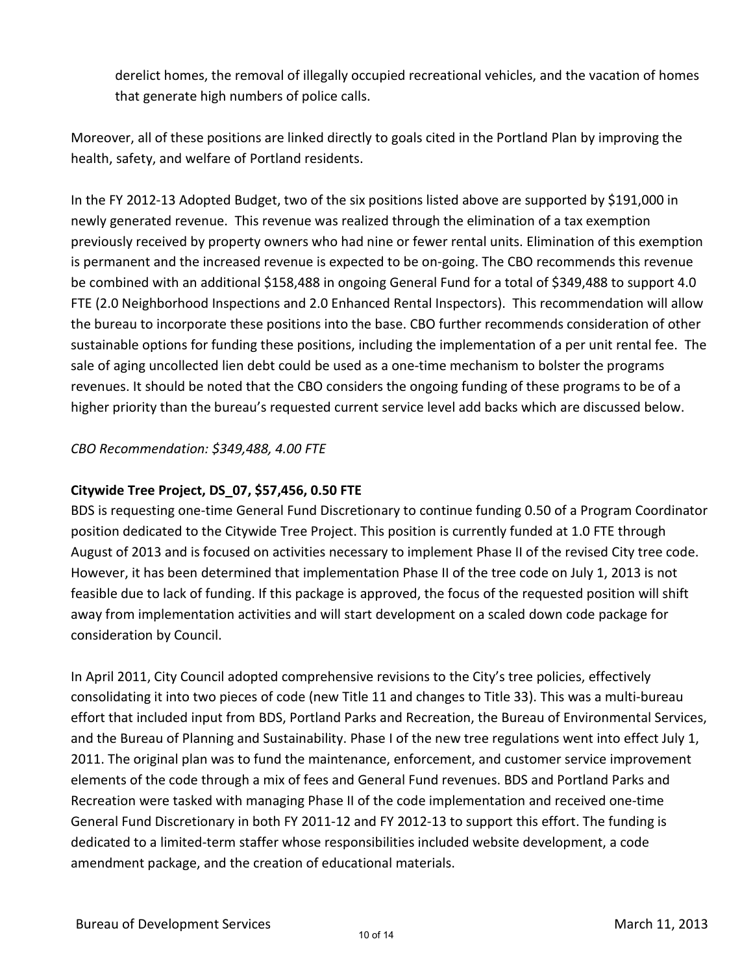derelict homes, the removal of illegally occupied recreational vehicles, and the vacation of homes that generate high numbers of police calls.

Moreover, all of these positions are linked directly to goals cited in the Portland Plan by improving the health, safety, and welfare of Portland residents.

In the FY 2012-13 Adopted Budget, two of the six positions listed above are supported by \$191,000 in newly generated revenue. This revenue was realized through the elimination of a tax exemption previously received by property owners who had nine or fewer rental units. Elimination of this exemption is permanent and the increased revenue is expected to be on-going. The CBO recommends this revenue be combined with an additional \$158,488 in ongoing General Fund for a total of \$349,488 to support 4.0 FTE (2.0 Neighborhood Inspections and 2.0 Enhanced Rental Inspectors). This recommendation will allow the bureau to incorporate these positions into the base. CBO further recommends consideration of other sustainable options for funding these positions, including the implementation of a per unit rental fee. The sale of aging uncollected lien debt could be used as a one-time mechanism to bolster the programs revenues. It should be noted that the CBO considers the ongoing funding of these programs to be of a higher priority than the bureau's requested current service level add backs which are discussed below.

## *CBO Recommendation: \$349,488, 4.00 FTE*

## **Citywide Tree Project, DS\_07, \$57,456, 0.50 FTE**

BDS is requesting one-time General Fund Discretionary to continue funding 0.50 of a Program Coordinator position dedicated to the Citywide Tree Project. This position is currently funded at 1.0 FTE through August of 2013 and is focused on activities necessary to implement Phase II of the revised City tree code. However, it has been determined that implementation Phase II of the tree code on July 1, 2013 is not feasible due to lack of funding. If this package is approved, the focus of the requested position will shift away from implementation activities and will start development on a scaled down code package for consideration by Council.

In April 2011, City Council adopted comprehensive revisions to the City's tree policies, effectively consolidating it into two pieces of code (new Title 11 and changes to Title 33). This was a multi-bureau effort that included input from BDS, Portland Parks and Recreation, the Bureau of Environmental Services, and the Bureau of Planning and Sustainability. Phase I of the new tree regulations went into effect July 1, 2011. The original plan was to fund the maintenance, enforcement, and customer service improvement elements of the code through a mix of fees and General Fund revenues. BDS and Portland Parks and Recreation were tasked with managing Phase II of the code implementation and received one-time General Fund Discretionary in both FY 2011-12 and FY 2012-13 to support this effort. The funding is dedicated to a limited-term staffer whose responsibilities included website development, a code amendment package, and the creation of educational materials.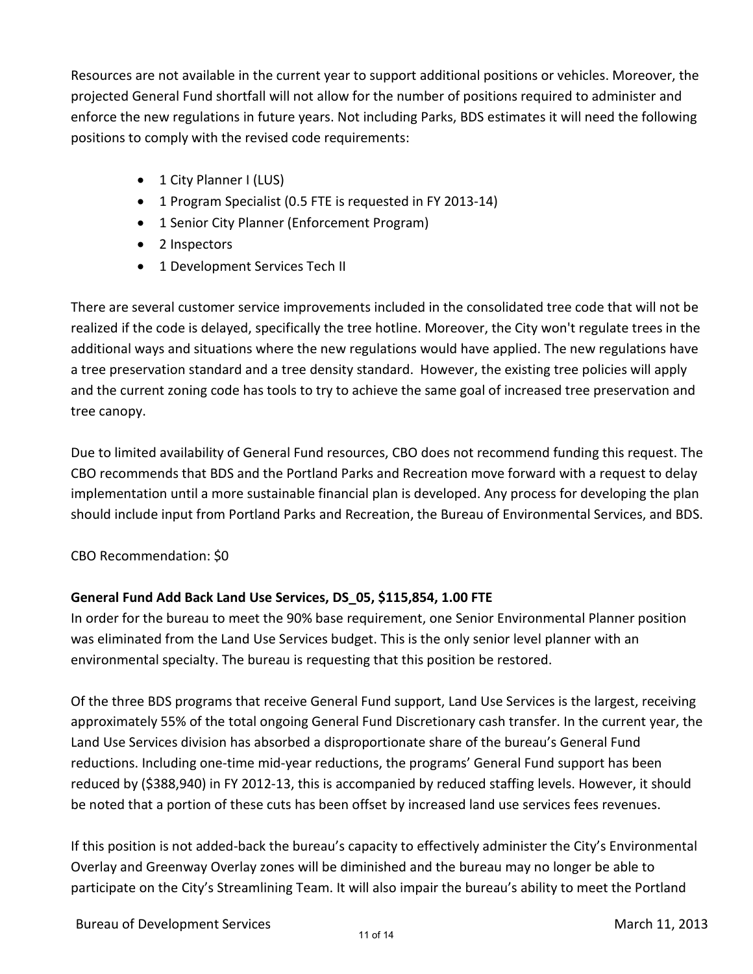Resources are not available in the current year to support additional positions or vehicles. Moreover, the projected General Fund shortfall will not allow for the number of positions required to administer and enforce the new regulations in future years. Not including Parks, BDS estimates it will need the following positions to comply with the revised code requirements:

- 1 City Planner I (LUS)
- 1 Program Specialist (0.5 FTE is requested in FY 2013-14)
- 1 Senior City Planner (Enforcement Program)
- 2 Inspectors
- 1 Development Services Tech II

There are several customer service improvements included in the consolidated tree code that will not be realized if the code is delayed, specifically the tree hotline. Moreover, the City won't regulate trees in the additional ways and situations where the new regulations would have applied. The new regulations have a tree preservation standard and a tree density standard. However, the existing tree policies will apply and the current zoning code has tools to try to achieve the same goal of increased tree preservation and tree canopy.

Due to limited availability of General Fund resources, CBO does not recommend funding this request. The CBO recommends that BDS and the Portland Parks and Recreation move forward with a request to delay implementation until a more sustainable financial plan is developed. Any process for developing the plan should include input from Portland Parks and Recreation, the Bureau of Environmental Services, and BDS.

## CBO Recommendation: \$0

## **General Fund Add Back Land Use Services, DS\_05, \$115,854, 1.00 FTE**

In order for the bureau to meet the 90% base requirement, one Senior Environmental Planner position was eliminated from the Land Use Services budget. This is the only senior level planner with an environmental specialty. The bureau is requesting that this position be restored.

Of the three BDS programs that receive General Fund support, Land Use Services is the largest, receiving approximately 55% of the total ongoing General Fund Discretionary cash transfer. In the current year, the Land Use Services division has absorbed a disproportionate share of the bureau's General Fund reductions. Including one-time mid-year reductions, the programs' General Fund support has been reduced by (\$388,940) in FY 2012-13, this is accompanied by reduced staffing levels. However, it should be noted that a portion of these cuts has been offset by increased land use services fees revenues.

If this position is not added-back the bureau's capacity to effectively administer the City's Environmental Overlay and Greenway Overlay zones will be diminished and the bureau may no longer be able to participate on the City's Streamlining Team. It will also impair the bureau's ability to meet the Portland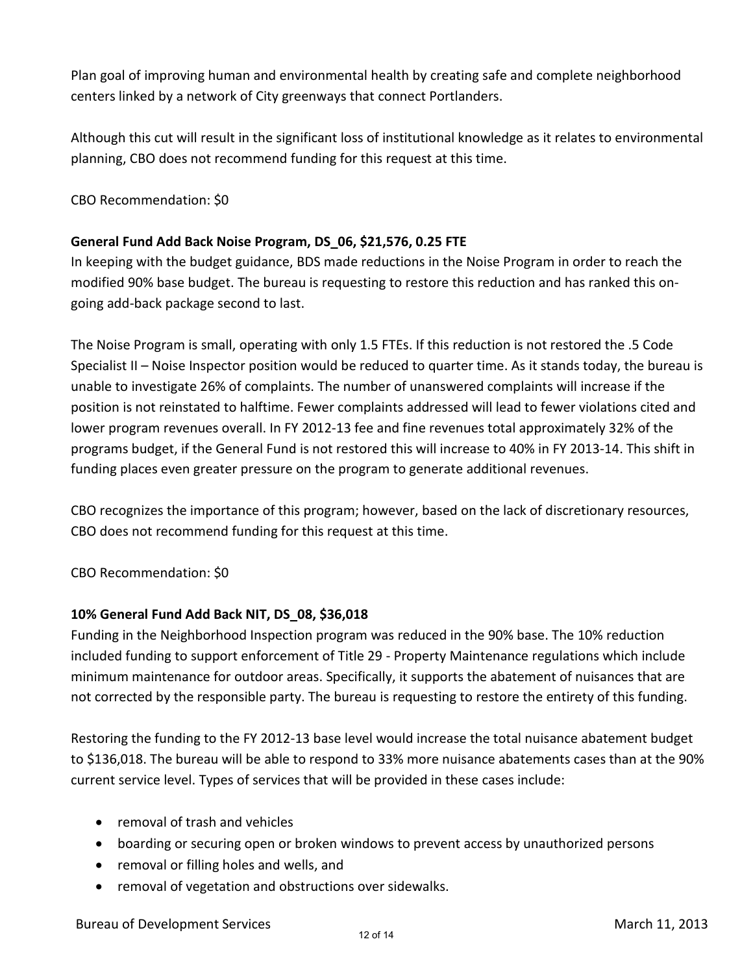Plan goal of improving human and environmental health by creating safe and complete neighborhood centers linked by a network of City greenways that connect Portlanders.

Although this cut will result in the significant loss of institutional knowledge as it relates to environmental planning, CBO does not recommend funding for this request at this time.

CBO Recommendation: \$0

## **General Fund Add Back Noise Program, DS\_06, \$21,576, 0.25 FTE**

In keeping with the budget guidance, BDS made reductions in the Noise Program in order to reach the modified 90% base budget. The bureau is requesting to restore this reduction and has ranked this ongoing add-back package second to last.

The Noise Program is small, operating with only 1.5 FTEs. If this reduction is not restored the .5 Code Specialist II – Noise Inspector position would be reduced to quarter time. As it stands today, the bureau is unable to investigate 26% of complaints. The number of unanswered complaints will increase if the position is not reinstated to halftime. Fewer complaints addressed will lead to fewer violations cited and lower program revenues overall. In FY 2012-13 fee and fine revenues total approximately 32% of the programs budget, if the General Fund is not restored this will increase to 40% in FY 2013-14. This shift in funding places even greater pressure on the program to generate additional revenues.

CBO recognizes the importance of this program; however, based on the lack of discretionary resources, CBO does not recommend funding for this request at this time.

CBO Recommendation: \$0

## **10% General Fund Add Back NIT, DS\_08, \$36,018**

Funding in the Neighborhood Inspection program was reduced in the 90% base. The 10% reduction included funding to support enforcement of Title 29 - Property Maintenance regulations which include minimum maintenance for outdoor areas. Specifically, it supports the abatement of nuisances that are not corrected by the responsible party. The bureau is requesting to restore the entirety of this funding.

Restoring the funding to the FY 2012-13 base level would increase the total nuisance abatement budget to \$136,018. The bureau will be able to respond to 33% more nuisance abatements cases than at the 90% current service level. Types of services that will be provided in these cases include:

- removal of trash and vehicles
- boarding or securing open or broken windows to prevent access by unauthorized persons
- removal or filling holes and wells, and
- removal of vegetation and obstructions over sidewalks.

Bureau of Development Services March 11, 2013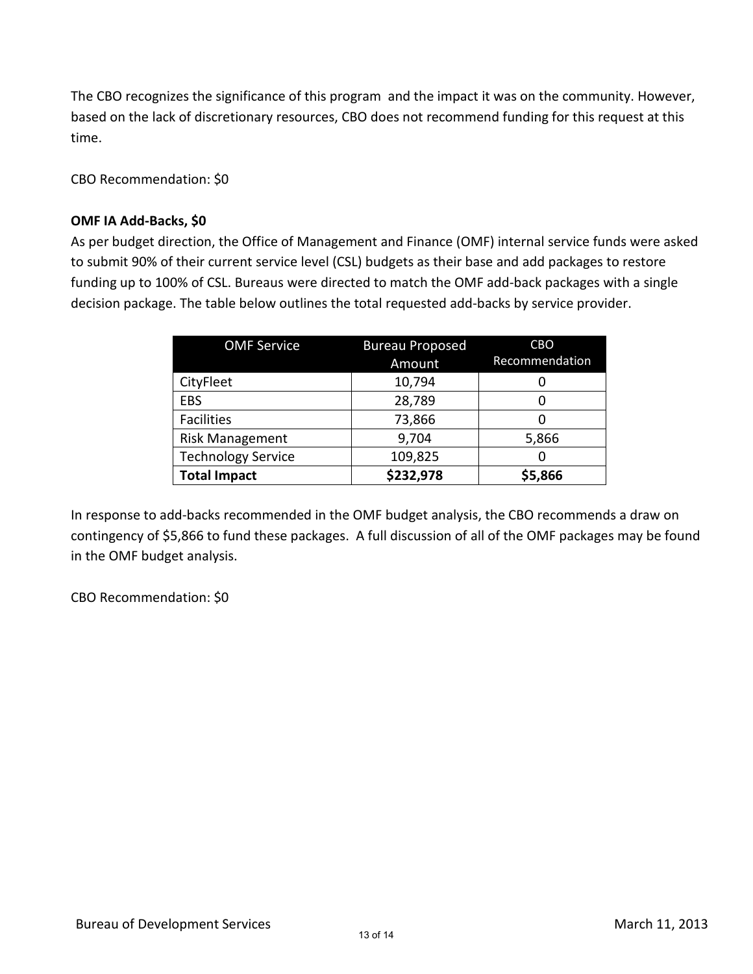The CBO recognizes the significance of this program and the impact it was on the community. However, based on the lack of discretionary resources, CBO does not recommend funding for this request at this time.

CBO Recommendation: \$0

#### **OMF IA Add-Backs, \$0**

As per budget direction, the Office of Management and Finance (OMF) internal service funds were asked to submit 90% of their current service level (CSL) budgets as their base and add packages to restore funding up to 100% of CSL. Bureaus were directed to match the OMF add-back packages with a single decision package. The table below outlines the total requested add-backs by service provider.

| <b>OMF Service</b>        | <b>Bureau Proposed</b> | <b>CBO</b>     |  |  |  |
|---------------------------|------------------------|----------------|--|--|--|
|                           | Amount                 | Recommendation |  |  |  |
| CityFleet                 | 10,794                 |                |  |  |  |
| EBS                       | 28,789                 | 0              |  |  |  |
| <b>Facilities</b>         | 73,866                 | 0              |  |  |  |
| <b>Risk Management</b>    | 9,704                  | 5,866          |  |  |  |
| <b>Technology Service</b> | 109,825                |                |  |  |  |
| <b>Total Impact</b>       | \$232,978              | \$5,866        |  |  |  |

In response to add-backs recommended in the OMF budget analysis, the CBO recommends a draw on contingency of \$5,866 to fund these packages. A full discussion of all of the OMF packages may be found in the OMF budget analysis.

CBO Recommendation: \$0